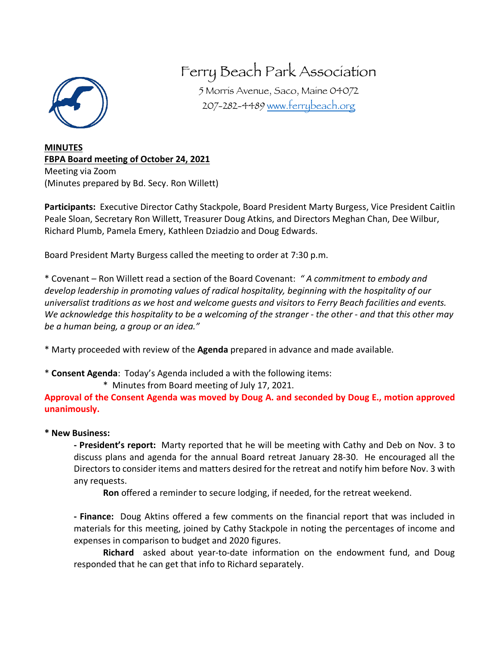

# Ferry Beach Park Association

5 Morris Avenue, Saco, Maine 04072 207-282-4489 www.ferrybeach.org

**MINUTES FBPA Board meeting of October 24, 2021** Meeting via Zoom (Minutes prepared by Bd. Secy. Ron Willett)

**Participants:** Executive Director Cathy Stackpole, Board President Marty Burgess, Vice President Caitlin Peale Sloan, Secretary Ron Willett, Treasurer Doug Atkins, and Directors Meghan Chan, Dee Wilbur, Richard Plumb, Pamela Emery, Kathleen Dziadzio and Doug Edwards.

Board President Marty Burgess called the meeting to order at 7:30 p.m.

\* Covenant – Ron Willett read a section of the Board Covenant: *" A commitment to embody and develop leadership in promoting values of radical hospitality, beginning with the hospitality of our universalist traditions as we host and welcome guests and visitors to Ferry Beach facilities and events. We acknowledge this hospitality to be a welcoming of the stranger - the other - and that this other may be a human being, a group or an idea."*

\* Marty proceeded with review of the **Agenda** prepared in advance and made available.

\* **Consent Agenda**: Today's Agenda included a with the following items:

\* Minutes from Board meeting of July 17, 2021.

**Approval of the Consent Agenda was moved by Doug A. and seconded by Doug E., motion approved unanimously.**

# **\* New Business:**

**- President's report:** Marty reported that he will be meeting with Cathy and Deb on Nov. 3 to discuss plans and agenda for the annual Board retreat January 28-30. He encouraged all the Directors to consider items and matters desired for the retreat and notify him before Nov. 3 with any requests.

**Ron** offered a reminder to secure lodging, if needed, for the retreat weekend.

**- Finance:** Doug Aktins offered a few comments on the financial report that was included in materials for this meeting, joined by Cathy Stackpole in noting the percentages of income and expenses in comparison to budget and 2020 figures.

**Richard** asked about year-to-date information on the endowment fund, and Doug responded that he can get that info to Richard separately.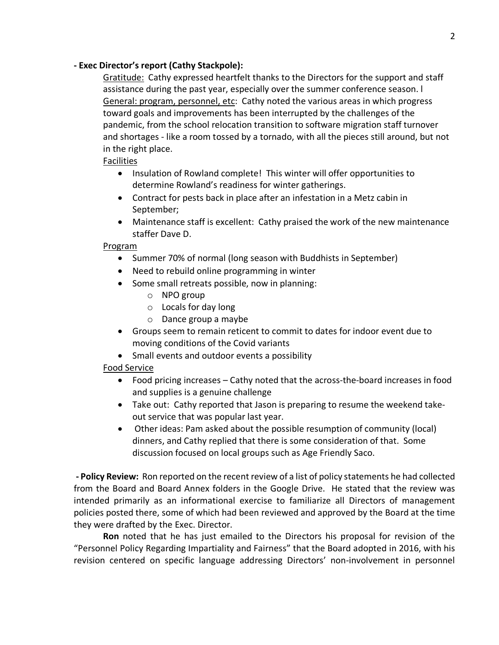### **- Exec Director's report (Cathy Stackpole):**

Gratitude: Cathy expressed heartfelt thanks to the Directors for the support and staff assistance during the past year, especially over the summer conference season. l General: program, personnel, etc: Cathy noted the various areas in which progress toward goals and improvements has been interrupted by the challenges of the pandemic, from the school relocation transition to software migration staff turnover and shortages - like a room tossed by a tornado, with all the pieces still around, but not in the right place.

### Facilities

- Insulation of Rowland complete! This winter will offer opportunities to determine Rowland's readiness for winter gatherings.
- Contract for pests back in place after an infestation in a Metz cabin in September;
- Maintenance staff is excellent: Cathy praised the work of the new maintenance staffer Dave D.

#### Program

- Summer 70% of normal (long season with Buddhists in September)
- Need to rebuild online programming in winter
- Some small retreats possible, now in planning:
	- o NPO group
	- o Locals for day long
	- o Dance group a maybe
- Groups seem to remain reticent to commit to dates for indoor event due to moving conditions of the Covid variants
- Small events and outdoor events a possibility

# Food Service

- Food pricing increases Cathy noted that the across-the-board increases in food and supplies is a genuine challenge
- Take out: Cathy reported that Jason is preparing to resume the weekend takeout service that was popular last year.
- Other ideas: Pam asked about the possible resumption of community (local) dinners, and Cathy replied that there is some consideration of that. Some discussion focused on local groups such as Age Friendly Saco.

**- Policy Review:** Ron reported on the recent review of a list of policy statements he had collected from the Board and Board Annex folders in the Google Drive. He stated that the review was intended primarily as an informational exercise to familiarize all Directors of management policies posted there, some of which had been reviewed and approved by the Board at the time they were drafted by the Exec. Director.

**Ron** noted that he has just emailed to the Directors his proposal for revision of the "Personnel Policy Regarding Impartiality and Fairness" that the Board adopted in 2016, with his revision centered on specific language addressing Directors' non-involvement in personnel